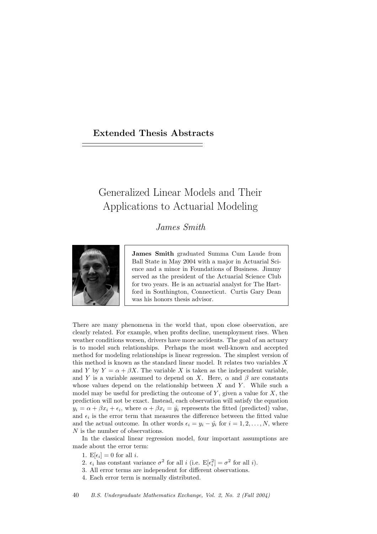## Extended Thesis Abstracts

## Generalized Linear Models and Their Applications to Actuarial Modeling

James Smith



James Smith graduated Summa Cum Laude from Ball State in May 2004 with a major in Actuarial Science and a minor in Foundations of Business. Jimmy served as the president of the Actuarial Science Club for two years. He is an actuarial analyst for The Hartford in Southington, Connecticut. Curtis Gary Dean was his honors thesis advisor.

There are many phenomena in the world that, upon close observation, are clearly related. For example, when profits decline, unemployment rises. When weather conditions worsen, drivers have more accidents. The goal of an actuary is to model such relationships. Perhaps the most well-known and accepted method for modeling relationships is linear regression. The simplest version of this method is known as the standard linear model. It relates two variables X and Y by  $Y = \alpha + \beta X$ . The variable X is taken as the independent variable, and Y is a variable assumed to depend on X. Here,  $\alpha$  and  $\beta$  are constants whose values depend on the relationship between  $X$  and  $Y$ . While such a model may be useful for predicting the outcome of  $Y$ , given a value for  $X$ , the prediction will not be exact. Instead, each observation will satisfy the equation  $y_i = \alpha + \beta x_i + \epsilon_i$ , where  $\alpha + \beta x_i = \hat{y}_i$  represents the fitted (predicted) value, and  $\epsilon_i$  is the error term that measures the difference between the fitted value and the actual outcome. In other words  $\epsilon_i = y_i - \hat{y}_i$  for  $i = 1, 2, ..., N$ , where N is the number of observations.

In the classical linear regression model, four important assumptions are made about the error term:

- 1.  $E[\epsilon_i] = 0$  for all *i*.
- 2.  $\epsilon_i$  has constant variance  $\sigma^2$  for all i (i.e.  $E[\epsilon_i^2] = \sigma^2$  for all i).
- 3. All error terms are independent for different observations.
- 4. Each error term is normally distributed.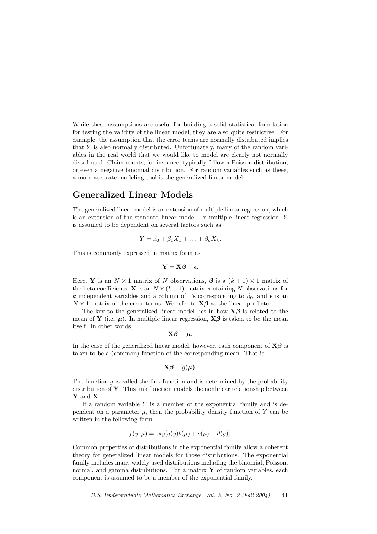While these assumptions are useful for building a solid statistical foundation for testing the validity of the linear model, they are also quite restrictive. For example, the assumption that the error terms are normally distributed implies that Y is also normally distributed. Unfortunately, many of the random variables in the real world that we would like to model are clearly not normally distributed. Claim counts, for instance, typically follow a Poisson distribution, or even a negative binomial distribution. For random variables such as these, a more accurate modeling tool is the generalized linear model.

## Generalized Linear Models

The generalized linear model is an extension of multiple linear regression, which is an extension of the standard linear model. In multiple linear regression, Y is assumed to be dependent on several factors such as

$$
Y = \beta_0 + \beta_1 X_1 + \ldots + \beta_k X_k.
$$

This is commonly expressed in matrix form as

$$
\mathbf{Y} = \mathbf{X}\boldsymbol{\beta} + \boldsymbol{\epsilon}.
$$

Here, **Y** is an  $N \times 1$  matrix of N observations,  $\beta$  is a  $(k+1) \times 1$  matrix of the beta coefficients, **X** is an  $N \times (k+1)$  matrix containing N observations for k independent variables and a column of 1's corresponding to  $\beta_0$ , and  $\epsilon$  is an  $N \times 1$  matrix of the error terms. We refer to  $X\beta$  as the linear predictor.

The key to the generalized linear model lies in how  $X\beta$  is related to the mean of **Y** (i.e.  $\mu$ ). In multiple linear regression, **X** $\beta$  is taken to be the mean itself. In other words,

$$
\mathbf{X}\boldsymbol{\beta}=\boldsymbol{\mu}.
$$

In the case of the generalized linear model, however, each component of  $X\beta$  is taken to be a (common) function of the corresponding mean. That is,

$$
\mathbf{X}\boldsymbol{\beta}=g(\boldsymbol{\mu}).
$$

The function  $g$  is called the link function and is determined by the probability distribution of  $\mathbf Y$ . This link function models the nonlinear relationship between Y and X.

If a random variable  $Y$  is a member of the exponential family and is dependent on a parameter  $\mu$ , then the probability density function of Y can be written in the following form

$$
f(y; \mu) = \exp[a(y)b(\mu) + c(\mu) + d(y)].
$$

Common properties of distributions in the exponential family allow a coherent theory for generalized linear models for those distributions. The exponential family includes many widely used distributions including the binomial, Poisson, normal, and gamma distributions. For a matrix  $\bf{Y}$  of random variables, each component is assumed to be a member of the exponential family.